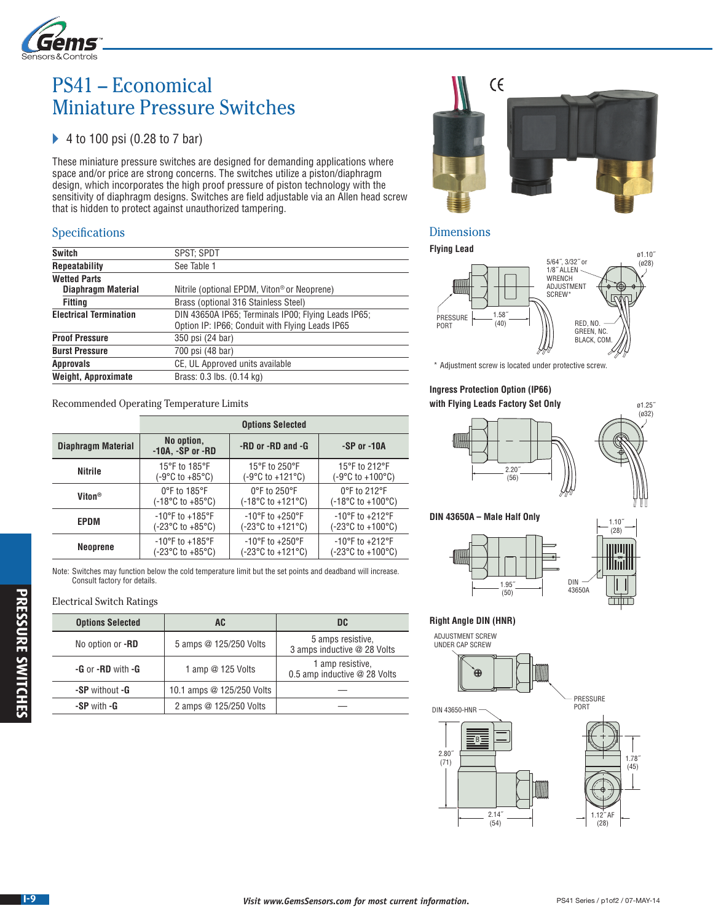

# PS41 – Economical Miniature Pressure Switches

# ◆ 4 to 100 psi (0.28 to 7 bar)

These miniature pressure switches are designed for demanding applications where space and/or price are strong concerns. The switches utilize a piston/diaphragm design, which incorporates the high proof pressure of piston technology with the sensitivity of diaphragm designs. Switches are field adjustable via an Allen head screw that is hidden to protect against unauthorized tampering.

# **Specifications**

| Switch                        | SPST: SPDT                                                                                             |  |
|-------------------------------|--------------------------------------------------------------------------------------------------------|--|
| <b>Repeatability</b>          | See Table 1                                                                                            |  |
| <b>Wetted Parts</b>           |                                                                                                        |  |
| Diaphragm Material            | Nitrile (optional EPDM, Viton <sup>®</sup> or Neoprene)                                                |  |
| Fitting                       | Brass (optional 316 Stainless Steel)                                                                   |  |
| <b>Electrical Termination</b> | DIN 43650A IP65; Terminals IP00; Flying Leads IP65;<br>Option IP: IP66; Conduit with Flying Leads IP65 |  |
| <b>Proof Pressure</b>         | 350 psi (24 bar)                                                                                       |  |
| <b>Burst Pressure</b>         | 700 psi (48 bar)                                                                                       |  |
| <b>Approvals</b>              | CE, UL Approved units available                                                                        |  |
| <b>Weight, Approximate</b>    | Brass: 0.3 lbs. (0.14 kg)                                                                              |  |
|                               |                                                                                                        |  |

Recommended Operating Temperature Limits

|                    | <b>Options Selected</b>               |                                            |                                            |
|--------------------|---------------------------------------|--------------------------------------------|--------------------------------------------|
| Diaphragm Material | No option,<br>$-10A$ , $-SP$ or $-BD$ | -RD or -RD and -G                          | $-SP$ or $-10A$                            |
| Nitrile            | 15°F to 185°F                         | 15°F to 250°F                              | 15°F to 212°F                              |
|                    | (-9°C to +85°C)                       | (-9°C to +121°C)                           | (-9°C to +100°C)                           |
| Viton <sup>®</sup> | $0^{\circ}$ F to 185 $^{\circ}$ F     | $0^{\circ}$ F to 250 $^{\circ}$ F          | 0°F to 212°F                               |
|                    | (-18°C to +85°C)                      | $(-18^{\circ}$ C to +121 $^{\circ}$ C)     | $(-18^{\circ}$ C to $+100^{\circ}$ C)      |
| EPDM               | $-10^{\circ}$ F to $+185^{\circ}$ F   | $-10^{\circ}$ F to $+250^{\circ}$ F        | $-10^{\circ}$ F to $+212^{\circ}$ F        |
|                    | (-23°C to +85°C)                      | $(-23^{\circ}C \text{ to } +121^{\circ}C)$ | $(-23^{\circ}C \text{ to } +100^{\circ}C)$ |
| <b>Neoprene</b>    | $-10^{\circ}$ F to $+185^{\circ}$ F   | $-10^{\circ}$ F to $+250^{\circ}$ F        | $-10^{\circ}$ F to $+212^{\circ}$ F        |
|                    | (-23°C to +85°C)                      | $(-23^{\circ}C \text{ to } +121^{\circ}C)$ | $(-23^{\circ}C \text{ to } +100^{\circ}C)$ |

Note: Switches may function below the cold temperature limit but the set points and deadband will increase. Consult factory for details.

#### Electrical Switch Ratings

| <b>Options Selected</b> | <b>AC</b>                 | DC                                               |
|-------------------------|---------------------------|--------------------------------------------------|
| No option or -RD        | 5 amps @ 125/250 Volts    | 5 amps resistive.<br>3 amps inductive @ 28 Volts |
| $-G$ or $-BD$ with $-G$ | 1 amp @ 125 Volts         | 1 amp resistive.<br>0.5 amp inductive @ 28 Volts |
| -SP without -G          | 10.1 amps @ 125/250 Volts |                                                  |
| -SP with -G             | 2 amps @ 125/250 Volts    |                                                  |



### Dimensions

**Flying Lead**



\* Adjustment screw is located under protective screw.

#### **Ingress Protection Option (IP66) with Flying Leads Factory Set Only**



#### **DIN 43650A – Male Half Only**





PRESSURE

ø1.25˝ (ø32)

# **Right Angle DIN (HNR)**





DIN 43650-HNR



**PRESSURE SWITCHES**